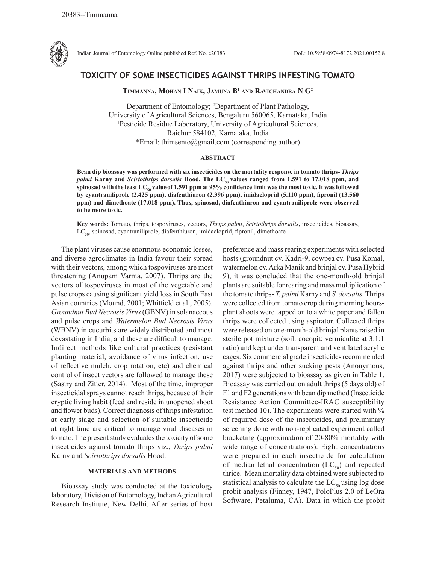

Indian Journal of Entomology Online published Ref. No. e20383 DoI.: 10.5958/0974-8172.2021.00152.8

# **TOXICITY OF SOME INSECTICIDES AGAINST THRIPS INFESTING TOMATO**

**Timmanna, Mohan I Naik, Jamuna B1 and Ravichandra N G2**

Department of Entomology; 2 Department of Plant Pathology, University of Agricultural Sciences, Bengaluru 560065, Karnataka, India 1 Pesticide Residue Laboratory, University of Agricultural Sciences, Raichur 584102, Karnataka, India \*Email: thimsento@gmail.com (corresponding author)

## **ABSTRACT**

**Bean dip bioassay was performed with six insecticides on the mortality response in tomato thrips-** *Thrips palmi* Karny and *Scirtothrips dorsalis* Hood. The LC<sub>50</sub> values ranged from 1.591 to 17.018 ppm, and spinosad with the least LC<sub>50</sub> value of 1.591 ppm at 95% confidence limit was the most toxic. It was followed **by cyantraniliprole (2.425 ppm), diafenthiuron (2.396 ppm), imidacloprid (5.110 ppm), fipronil (13.560 ppm) and dimethoate (17.018 ppm). Thus, spinosad, diafenthiuron and cyantraniliprole were observed to be more toxic.**

**Key words:** Tomato, thrips, tospoviruses, vectors, *Thrips palmi*, *Scirtothrips dorsalis***,** insecticides, bioassay,  $LC_{50}$ , spinosad, cyantraniliprole, diafenthiuron, imidacloprid, fipronil, dimethoate

The plant viruses cause enormous economic losses, and diverse agroclimates in India favour their spread with their vectors, among which tospoviruses are most threatening (Anupam Varma, 2007). Thrips are the vectors of tospoviruses in most of the vegetable and pulse crops causing significant yield loss in South East Asian countries (Mound, 2001; Whitfield et al., 2005). *Groundnut Bud Necrosis Virus* (GBNV) in solanaceous and pulse crops and *Watermelon Bud Necrosis Virus*  (WBNV) in cucurbits are widely distributed and most devastating in India, and these are difficult to manage. Indirect methods like cultural practices (resistant planting material, avoidance of virus infection, use of reflective mulch, crop rotation, etc) and chemical control of insect vectors are followed to manage these (Sastry and Zitter, 2014). Most of the time, improper insecticidal sprays cannot reach thrips, because of their cryptic living habit (feed and reside in unopened shoot and flower buds). Correct diagnosis of thrips infestation at early stage and selection of suitable insecticide at right time are critical to manage viral diseases in tomato. The present study evaluates the toxicity of some insecticides against tomato thrips viz., *Thrips palmi* Karny and *Scirtothrips dorsalis* Hood.

## **MATERIALS AND METHODS**

Bioassay study was conducted at the toxicology laboratory, Division of Entomology, Indian Agricultural Research Institute, New Delhi. After series of host preference and mass rearing experiments with selected hosts (groundnut cv. Kadri-9, cowpea cv. Pusa Komal, watermelon cv. Arka Manik and brinjal cv. Pusa Hybrid 9), it was concluded that the one-month-old brinjal plants are suitable for rearing and mass multiplication of the tomato thrips- *T. palmi* Karny and *S. dorsalis*. Thrips were collected from tomato crop during morning hoursplant shoots were tapped on to a white paper and fallen thrips were collected using aspirator. Collected thrips were released on one-month-old brinjal plants raised in sterile pot mixture (soil: cocopit: vermiculite at 3:1:1 ratio) and kept under transparent and ventilated acrylic cages. Six commercial grade insecticides recommended against thrips and other sucking pests (Anonymous, 2017) were subjected to bioassay as given in Table 1. Bioassay was carried out on adult thrips (5 days old) of F1 and F2 generations with bean dip method (Insecticide Resistance Action Committee-IRAC susceptibility test method 10). The experiments were started with % of required dose of the insecticides, and preliminary screening done with non-replicated experiment called bracketing (approximation of 20-80% mortality with wide range of concentrations). Eight concentrations were prepared in each insecticide for calculation of median lethal concentration  $(LC_{50})$  and repeated thrice. Mean mortality data obtained were subjected to statistical analysis to calculate the  $LC_{50}$  using log dose probit analysis (Finney, 1947, PoloPlus 2.0 of LeOra Software, Petaluma, CA). Data in which the probit